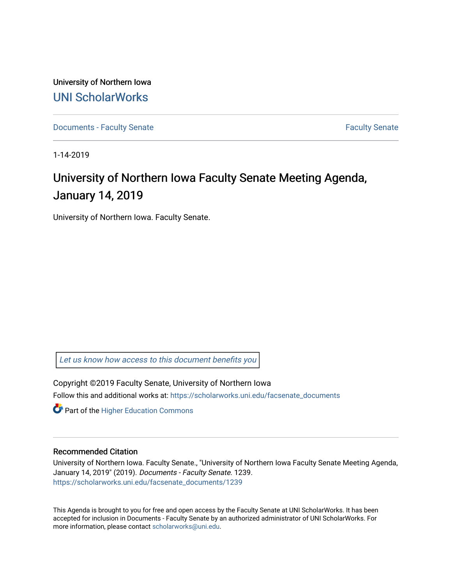University of Northern Iowa [UNI ScholarWorks](https://scholarworks.uni.edu/) 

[Documents - Faculty Senate](https://scholarworks.uni.edu/facsenate_documents) [Faculty Senate](https://scholarworks.uni.edu/facsenate) Faculty Senate

1-14-2019

# University of Northern Iowa Faculty Senate Meeting Agenda, January 14, 2019

University of Northern Iowa. Faculty Senate.

[Let us know how access to this document benefits you](https://scholarworks.uni.edu/feedback_form.html) 

Copyright ©2019 Faculty Senate, University of Northern Iowa Follow this and additional works at: [https://scholarworks.uni.edu/facsenate\\_documents](https://scholarworks.uni.edu/facsenate_documents?utm_source=scholarworks.uni.edu%2Ffacsenate_documents%2F1239&utm_medium=PDF&utm_campaign=PDFCoverPages) 

**Part of the Higher Education Commons** 

#### Recommended Citation

University of Northern Iowa. Faculty Senate., "University of Northern Iowa Faculty Senate Meeting Agenda, January 14, 2019" (2019). Documents - Faculty Senate. 1239. [https://scholarworks.uni.edu/facsenate\\_documents/1239](https://scholarworks.uni.edu/facsenate_documents/1239?utm_source=scholarworks.uni.edu%2Ffacsenate_documents%2F1239&utm_medium=PDF&utm_campaign=PDFCoverPages) 

This Agenda is brought to you for free and open access by the Faculty Senate at UNI ScholarWorks. It has been accepted for inclusion in Documents - Faculty Senate by an authorized administrator of UNI ScholarWorks. For more information, please contact [scholarworks@uni.edu.](mailto:scholarworks@uni.edu)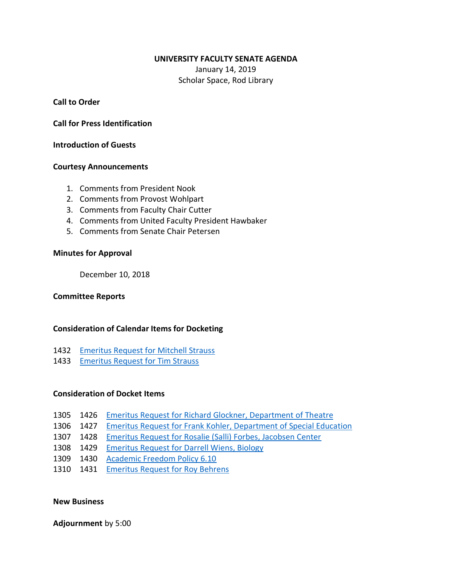#### **UNIVERSITY FACULTY SENATE AGENDA**

January 14, 2019 Scholar Space, Rod Library

**Call to Order**

**Call for Press Identification**

**Introduction of Guests**

### **Courtesy Announcements**

- 1. Comments from President Nook
- 2. Comments from Provost Wohlpart
- 3. Comments from Faculty Chair Cutter
- 4. Comments from United Faculty President Hawbaker
- 5. Comments from Senate Chair Petersen

## **Minutes for Approval**

December 10, 2018

## **Committee Reports**

## **Consideration of Calendar Items for Docketing**

- 1432 [Emeritus Request for Mitchell Strauss](https://senate.uni.edu/current-year/current-and-pending-business/emeritus-request-tim-strauss)
- 1433 [Emeritus Request for Tim Strauss](https://senate.uni.edu/current-year/current-and-pending-business/emeritus-request-mitchell-strauss)

# **Consideration of Docket Items**

- 1305 1426 [Emeritus Request for Richard Glockner, Department of Theatre](https://senate.uni.edu/current-year/current-and-pending-business/emeritus-request-richard-glockner)
- 1306 1427 [Emeritus Request for Frank Kohler, Department of Special Education](https://senate.uni.edu/current-year/current-and-pending-business/emeritus-request-frank-kohler)
- 1307 1428 [Emeritus Request for Rosalie \(Salli\) Forbes, Jacobsen Center](https://senate.uni.edu/current-year/current-and-pending-business/emeritus-request-rosalie-forbes)
- 1308 1429 [Emeritus Request for Darrell Wiens, Biology](https://senate.uni.edu/current-year/current-and-pending-business/emeritus-request-darrell-wiens)
- 1309 1430 [Academic Freedom Policy 6.10](https://senate.uni.edu/current-year/current-and-pending-business/academic-freedom-policy-610)
- 1310 1431 [Emeritus Request for Roy Behrens](https://senate.uni.edu/current-year/current-and-pending-business/emeritus-request-roy-behrens)

#### **New Business**

**Adjournment** by 5:00